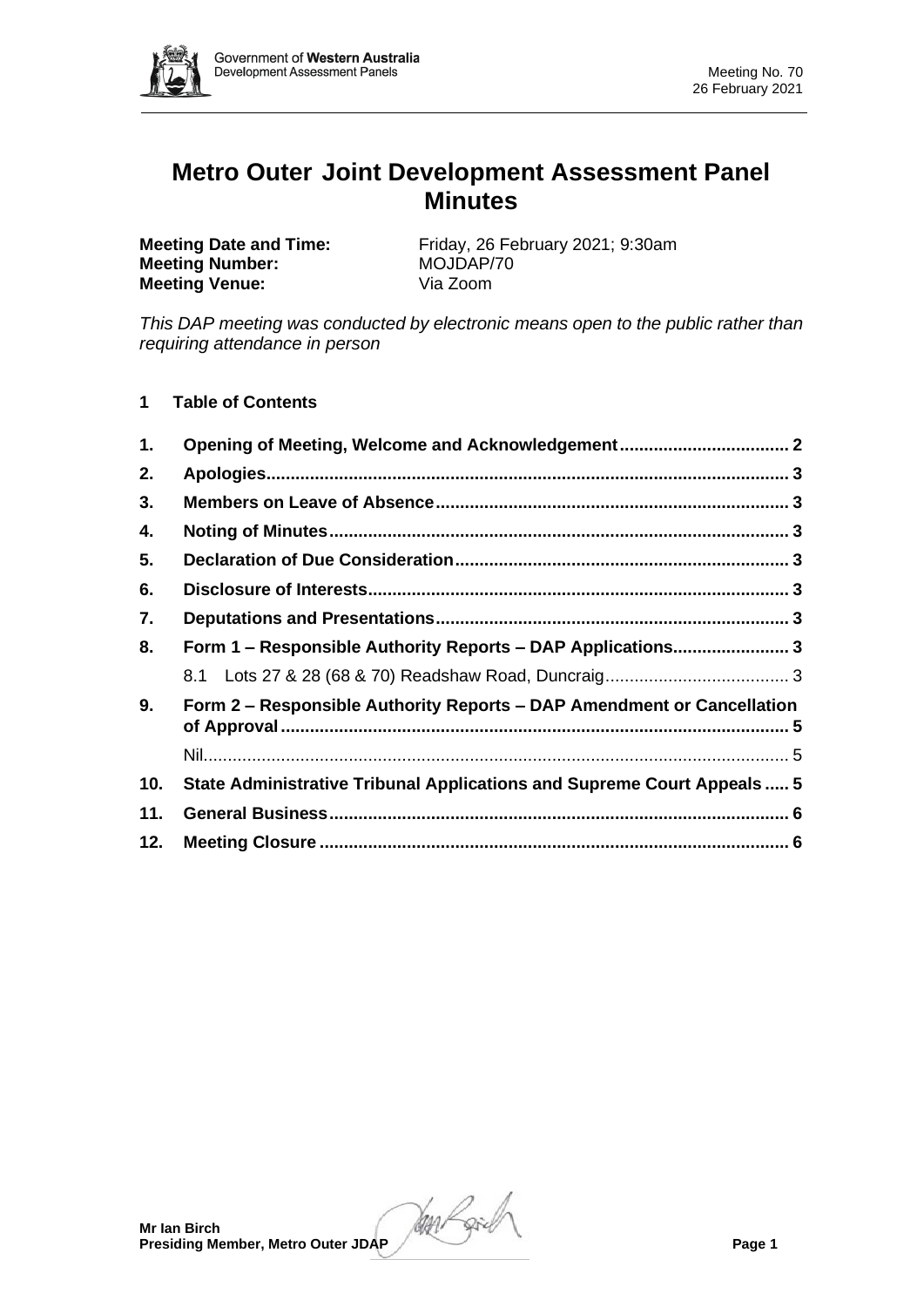

# **Metro Outer Joint Development Assessment Panel Minutes**

**Meeting Number: Meeting Venue:** Via Zoom

**Meeting Date and Time:** Friday, 26 February 2021; 9:30am<br> **Meeting Number:** MOJDAP/70

*This DAP meeting was conducted by electronic means open to the public rather than requiring attendance in person*

**1 Table of Contents**

| Form 1 - Responsible Authority Reports - DAP Applications 3             |  |  |  |
|-------------------------------------------------------------------------|--|--|--|
|                                                                         |  |  |  |
| Form 2 – Responsible Authority Reports – DAP Amendment or Cancellation  |  |  |  |
|                                                                         |  |  |  |
| State Administrative Tribunal Applications and Supreme Court Appeals  5 |  |  |  |
|                                                                         |  |  |  |
|                                                                         |  |  |  |
|                                                                         |  |  |  |

**Presiding Member, Metro Outer JDAP Page 1**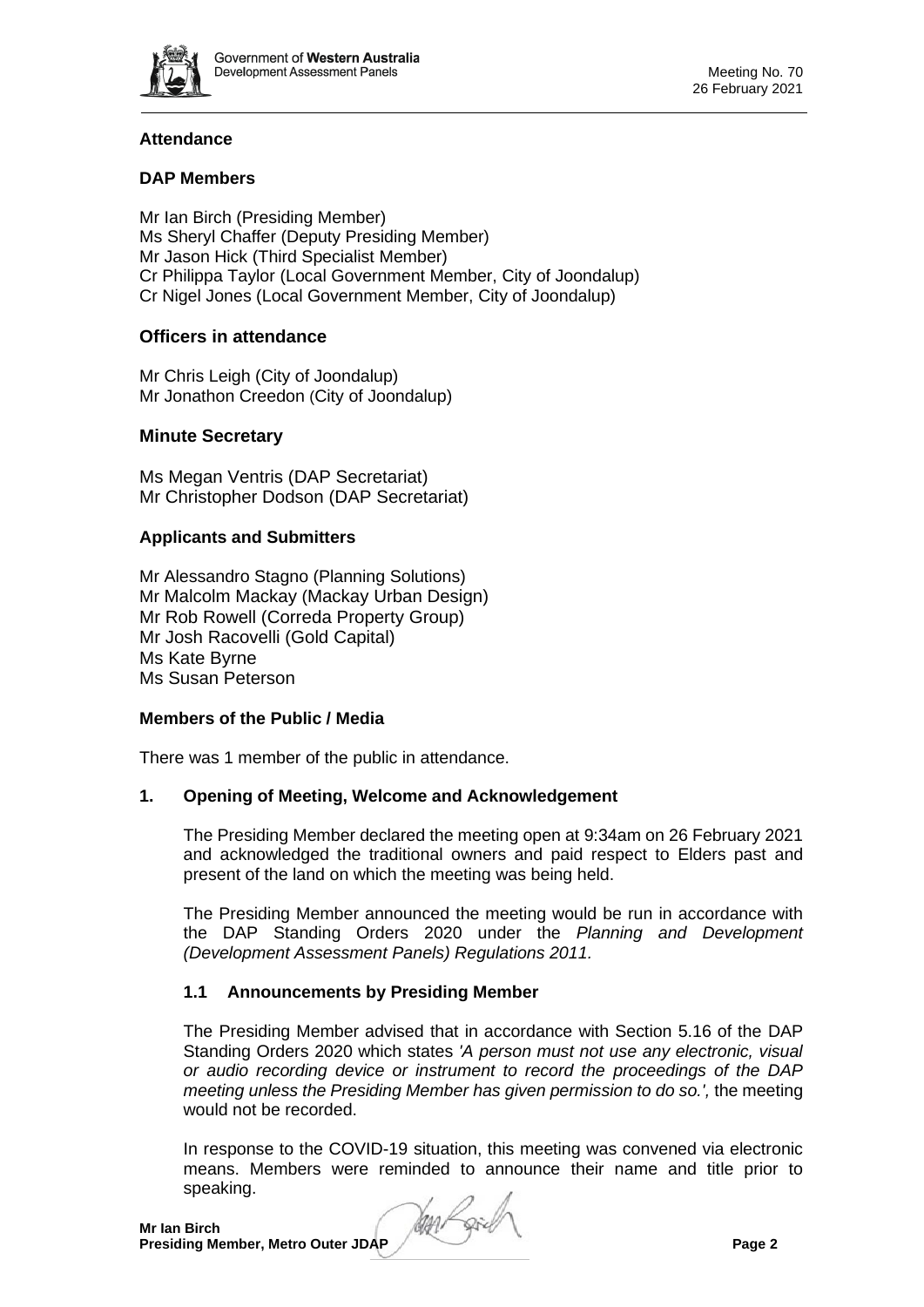

# **Attendance**

# **DAP Members**

Mr Ian Birch (Presiding Member) Ms Sheryl Chaffer (Deputy Presiding Member) Mr Jason Hick (Third Specialist Member) Cr Philippa Taylor (Local Government Member, City of Joondalup) Cr Nigel Jones (Local Government Member, City of Joondalup)

# **Officers in attendance**

Mr Chris Leigh (City of Joondalup) Mr Jonathon Creedon (City of Joondalup)

# **Minute Secretary**

Ms Megan Ventris (DAP Secretariat) Mr Christopher Dodson (DAP Secretariat)

#### **Applicants and Submitters**

Mr Alessandro Stagno (Planning Solutions) Mr Malcolm Mackay (Mackay Urban Design) Mr Rob Rowell (Correda Property Group) Mr Josh Racovelli (Gold Capital) Ms Kate Byrne Ms Susan Peterson

#### **Members of the Public / Media**

There was 1 member of the public in attendance.

# <span id="page-1-0"></span>**1. Opening of Meeting, Welcome and Acknowledgement**

The Presiding Member declared the meeting open at 9:34am on 26 February 2021 and acknowledged the traditional owners and paid respect to Elders past and present of the land on which the meeting was being held.

The Presiding Member announced the meeting would be run in accordance with the DAP Standing Orders 2020 under the *Planning and Development (Development Assessment Panels) Regulations 2011.*

# **1.1 Announcements by Presiding Member**

The Presiding Member advised that in accordance with Section 5.16 of the DAP Standing Orders 2020 which states *'A person must not use any electronic, visual or audio recording device or instrument to record the proceedings of the DAP meeting unless the Presiding Member has given permission to do so.',* the meeting would not be recorded.

In response to the COVID-19 situation, this meeting was convened via electronic means. Members were reminded to announce their name and title prior to speaking.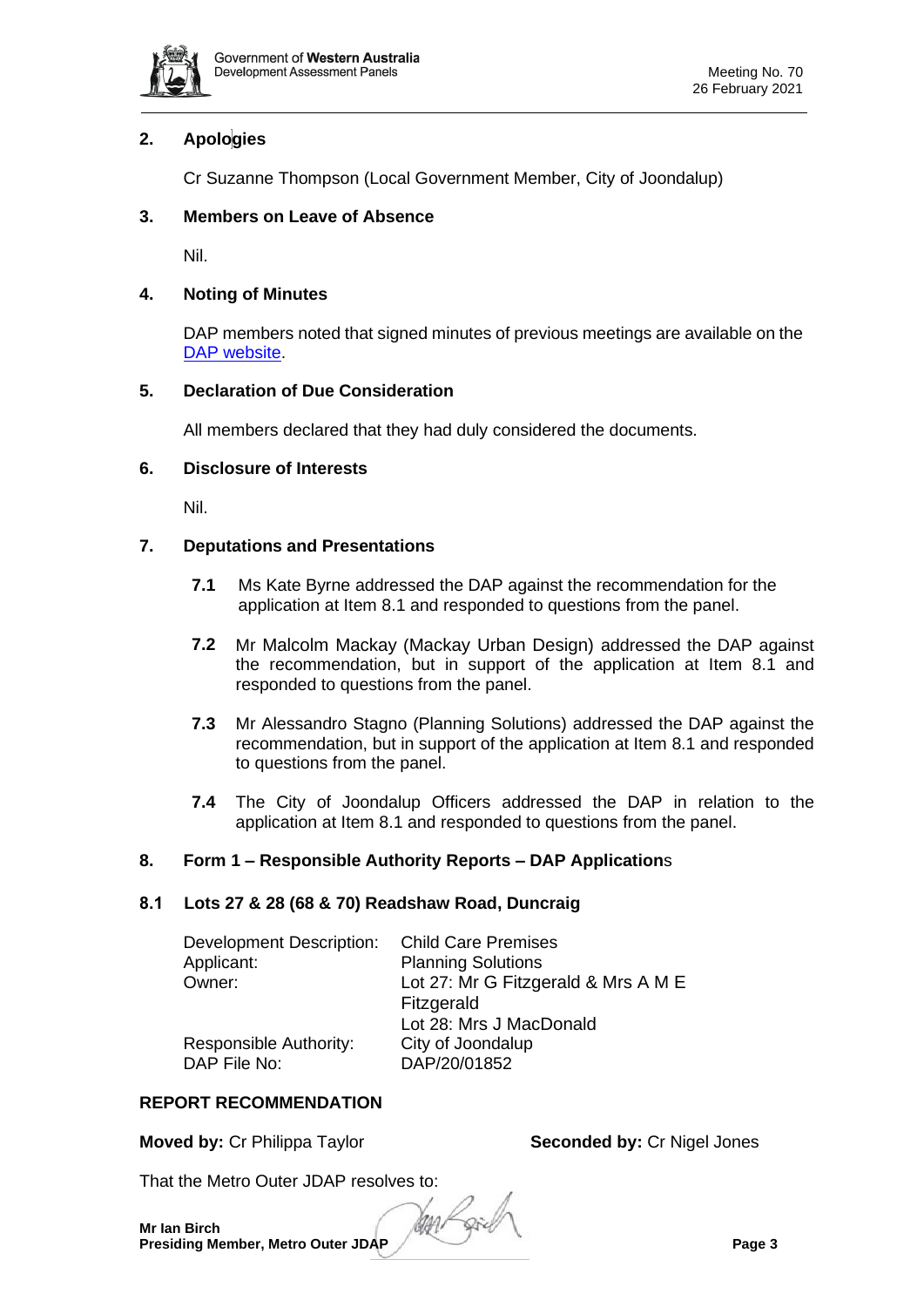

# <span id="page-2-0"></span>**2. Apologies**

Cr Suzanne Thompson (Local Government Member, City of Joondalup)

# <span id="page-2-1"></span>**3. Members on Leave of Absence**

Nil.

# <span id="page-2-2"></span>**4. Noting of Minutes**

DAP members noted that signed minutes of previous meetings are available on the [DAP website.](https://www.dplh.wa.gov.au/about/development-assessment-panels/daps-agendas-and-minutes)

# <span id="page-2-3"></span>**5. Declaration of Due Consideration**

All members declared that they had duly considered the documents.

# <span id="page-2-4"></span>**6. Disclosure of Interests**

Nil.

# <span id="page-2-5"></span>**7. Deputations and Presentations**

- **7.1** Ms Kate Byrne addressed the DAP against the recommendation for the application at Item 8.1 and responded to questions from the panel.
- **7.2** Mr Malcolm Mackay (Mackay Urban Design) addressed the DAP against the recommendation, but in support of the application at Item 8.1 and responded to questions from the panel.
- **7.3** Mr Alessandro Stagno (Planning Solutions) addressed the DAP against the recommendation, but in support of the application at Item 8.1 and responded to questions from the panel.
- **7.4** The City of Joondalup Officers addressed the DAP in relation to the application at Item 8.1 and responded to questions from the panel.

# <span id="page-2-6"></span>**8. Form 1 – Responsible Authority Reports – DAP Application**s

# <span id="page-2-7"></span>**8.1 Lots 27 & 28 (68 & 70) Readshaw Road, Duncraig**

| Development Description: | <b>Child Care Premises</b>          |
|--------------------------|-------------------------------------|
| Applicant:               | <b>Planning Solutions</b>           |
| Owner:                   | Lot 27: Mr G Fitzgerald & Mrs A M E |
|                          | Fitzgerald                          |
|                          | Lot 28: Mrs J MacDonald             |
| Responsible Authority:   | City of Joondalup                   |
| DAP File No:             | DAP/20/01852                        |

# **REPORT RECOMMENDATION**

**Moved by: Cr Philippa Taylor <b>Seconded by: Cr Nigel Jones** 

That the Metro Outer JDAP resolves to: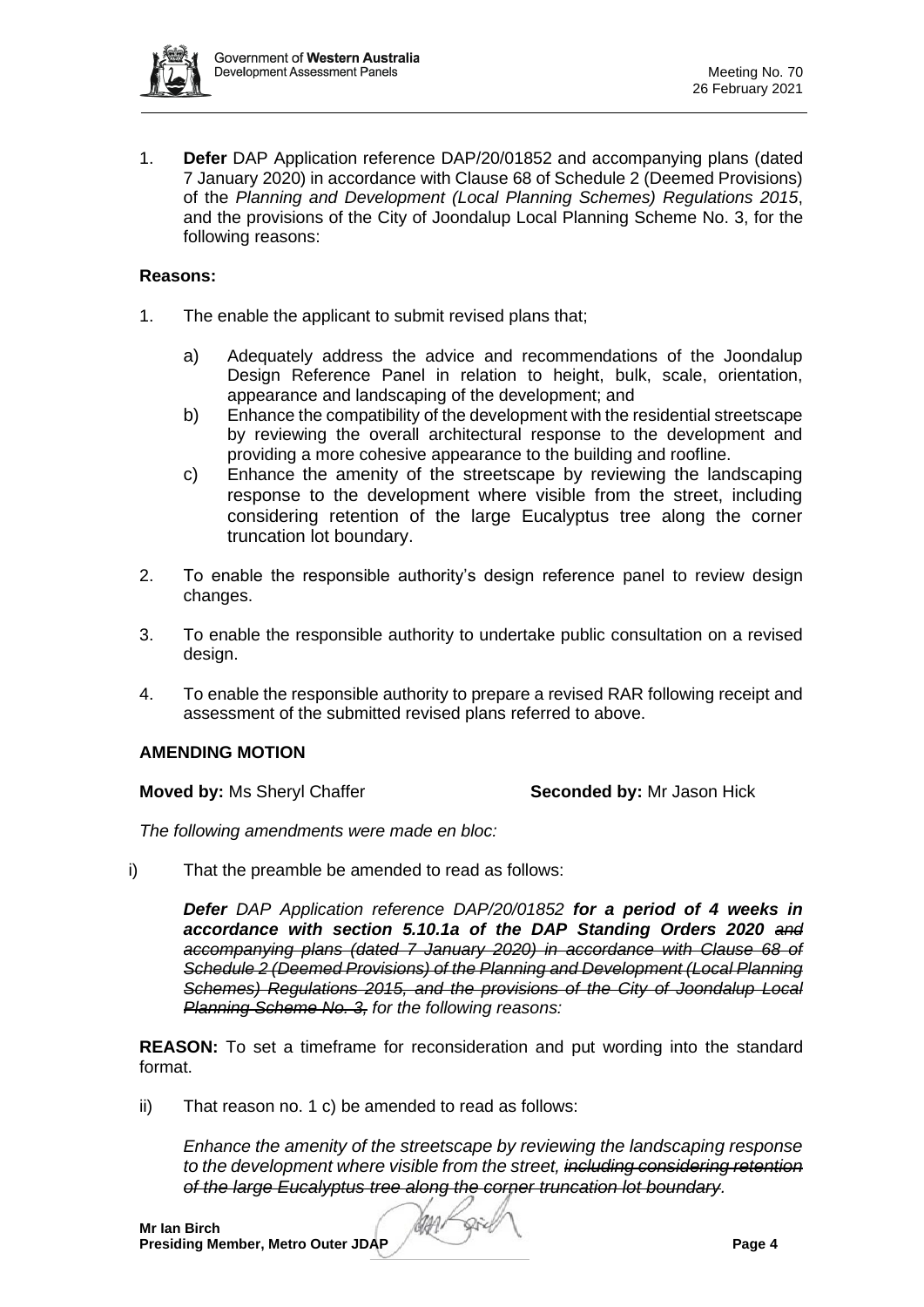

1. **Defer** DAP Application reference DAP/20/01852 and accompanying plans (dated 7 January 2020) in accordance with Clause 68 of Schedule 2 (Deemed Provisions) of the *Planning and Development (Local Planning Schemes) Regulations 2015*, and the provisions of the City of Joondalup Local Planning Scheme No. 3, for the following reasons:

#### **Reasons:**

- 1. The enable the applicant to submit revised plans that;
	- a) Adequately address the advice and recommendations of the Joondalup Design Reference Panel in relation to height, bulk, scale, orientation, appearance and landscaping of the development; and
	- b) Enhance the compatibility of the development with the residential streetscape by reviewing the overall architectural response to the development and providing a more cohesive appearance to the building and roofline.
	- c) Enhance the amenity of the streetscape by reviewing the landscaping response to the development where visible from the street, including considering retention of the large Eucalyptus tree along the corner truncation lot boundary.
- 2. To enable the responsible authority's design reference panel to review design changes.
- 3. To enable the responsible authority to undertake public consultation on a revised design.
- 4. To enable the responsible authority to prepare a revised RAR following receipt and assessment of the submitted revised plans referred to above.

# **AMENDING MOTION**

**Moved by: Ms Sheryl Chaffer <b>Seconded by:** Mr Jason Hick

*The following amendments were made en bloc:*

i) That the preamble be amended to read as follows:

*Defer DAP Application reference DAP/20/01852 for a period of 4 weeks in accordance with section 5.10.1a of the DAP Standing Orders 2020 and accompanying plans (dated 7 January 2020) in accordance with Clause 68 of Schedule 2 (Deemed Provisions) of the Planning and Development (Local Planning Schemes) Regulations 2015, and the provisions of the City of Joondalup Local Planning Scheme No. 3, for the following reasons:*

**REASON:** To set a timeframe for reconsideration and put wording into the standard format.

ii) That reason no. 1 c) be amended to read as follows:

*Enhance the amenity of the streetscape by reviewing the landscaping response to the development where visible from the street, including considering retention of the large Eucalyptus tree along the corner truncation lot boundary.*

Die

MA1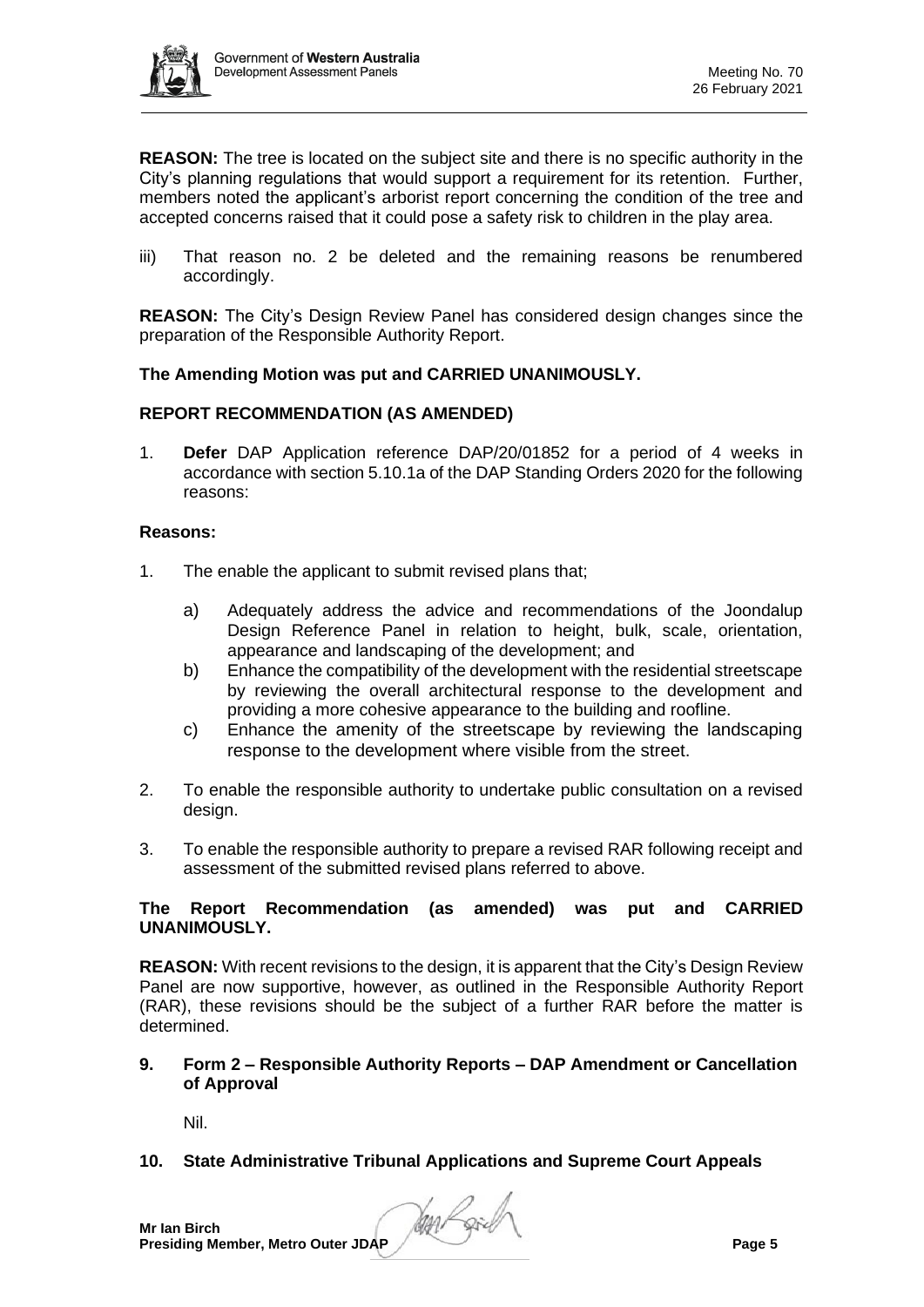

**REASON:** The tree is located on the subject site and there is no specific authority in the City's planning regulations that would support a requirement for its retention. Further, members noted the applicant's arborist report concerning the condition of the tree and accepted concerns raised that it could pose a safety risk to children in the play area.

iii) That reason no. 2 be deleted and the remaining reasons be renumbered accordingly.

**REASON:** The City's Design Review Panel has considered design changes since the preparation of the Responsible Authority Report.

# **The Amending Motion was put and CARRIED UNANIMOUSLY.**

# **REPORT RECOMMENDATION (AS AMENDED)**

1. **Defer** DAP Application reference DAP/20/01852 for a period of 4 weeks in accordance with section 5.10.1a of the DAP Standing Orders 2020 for the following reasons:

#### **Reasons:**

- 1. The enable the applicant to submit revised plans that;
	- a) Adequately address the advice and recommendations of the Joondalup Design Reference Panel in relation to height, bulk, scale, orientation, appearance and landscaping of the development; and
	- b) Enhance the compatibility of the development with the residential streetscape by reviewing the overall architectural response to the development and providing a more cohesive appearance to the building and roofline.
	- c) Enhance the amenity of the streetscape by reviewing the landscaping response to the development where visible from the street.
- 2. To enable the responsible authority to undertake public consultation on a revised design.
- 3. To enable the responsible authority to prepare a revised RAR following receipt and assessment of the submitted revised plans referred to above.

# **The Report Recommendation (as amended) was put and CARRIED UNANIMOUSLY.**

**REASON:** With recent revisions to the design, it is apparent that the City's Design Review Panel are now supportive, however, as outlined in the Responsible Authority Report (RAR), these revisions should be the subject of a further RAR before the matter is determined.

#### <span id="page-4-0"></span>**9. Form 2 – Responsible Authority Reports – DAP Amendment or Cancellation of Approval**

Nil.

# <span id="page-4-2"></span><span id="page-4-1"></span>**10. State Administrative Tribunal Applications and Supreme Court Appeals**